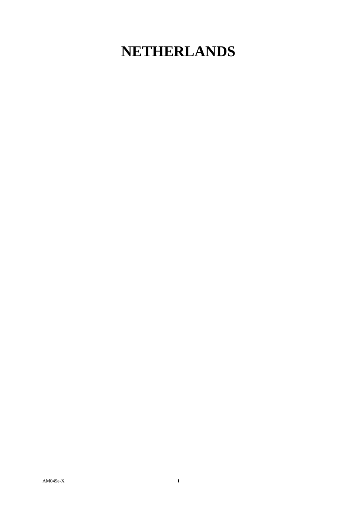## **NETHERLANDS**